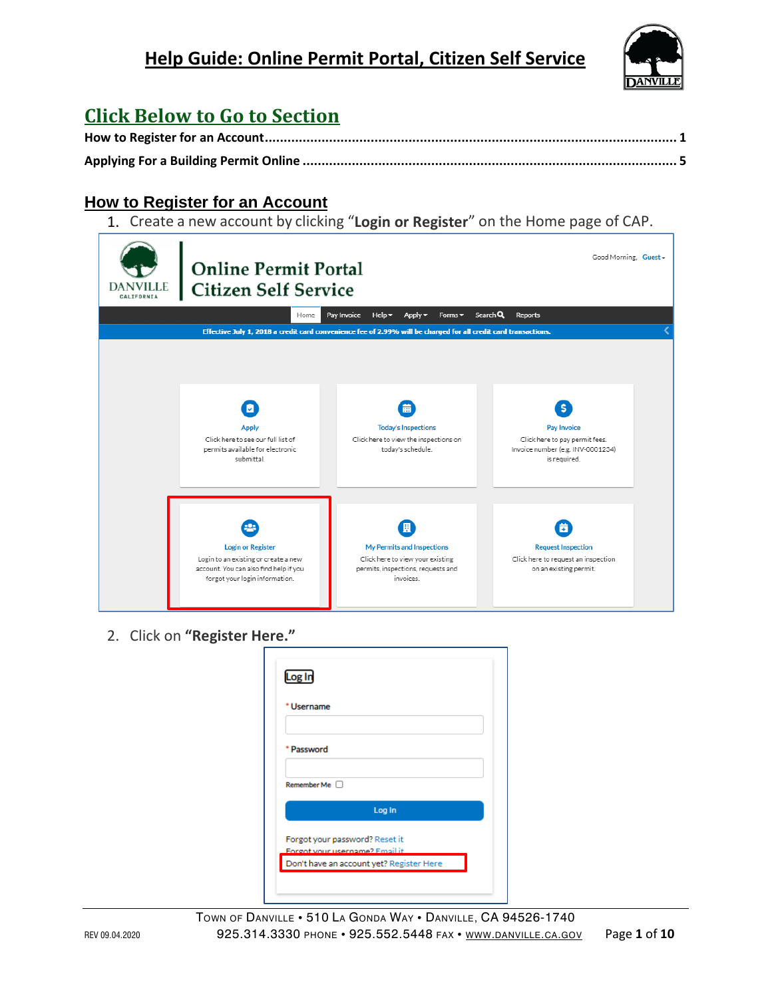

## **Click Below to Go to Section**

#### <span id="page-0-0"></span>**How to Register for an Account**

1. Create a new account by clicking "**Login or Register**" on the Home page of CAP.

| <b>DANVILLE</b> | <b>Online Permit Portal</b><br><b>Citizen Self Service</b>                                                                                   |                                                                                                                        | Good Morning, Guest -                                                                                   |  |
|-----------------|----------------------------------------------------------------------------------------------------------------------------------------------|------------------------------------------------------------------------------------------------------------------------|---------------------------------------------------------------------------------------------------------|--|
|                 | Home                                                                                                                                         | Pay Invoice<br>Help $\blacktriangledown$<br>Apply $\blacktriangledown$<br>Forms $\blacktriangledown$                   | Search Q<br><b>Reports</b>                                                                              |  |
|                 |                                                                                                                                              | Effective July 1, 2018 a credit card convenience fee of 2.99% will be charged for all credit card transactions.        |                                                                                                         |  |
|                 | ø<br><b>Apply</b><br>Click here to see our full list of<br>permits available for electronic<br>submittal.                                    | 蘦<br><b>Today's Inspections</b><br>Click here to view the inspections on<br>today's schedule.                          | s<br>Pay Invoice<br>Click here to pay permit fees.<br>Invoice number (e.g. INV-0001234)<br>is required. |  |
|                 | <b>Login or Register</b><br>Login to an existing or create a new<br>account. You can also find help if you<br>forgot your login information. | 圓<br>My Permits and Inspections<br>Click here to view your existing<br>permits, inspections, requests and<br>invoices. | ä<br><b>Request Inspection</b><br>Click here to request an inspection<br>on an existing permit.         |  |

2. Click on **"Register Here."**

| * Username                     |                                 |  |
|--------------------------------|---------------------------------|--|
|                                |                                 |  |
| * Password                     |                                 |  |
|                                |                                 |  |
| Remember Me                    |                                 |  |
|                                | Log In                          |  |
| Forgot your password? Reset it |                                 |  |
|                                | Forgot your username? Email it. |  |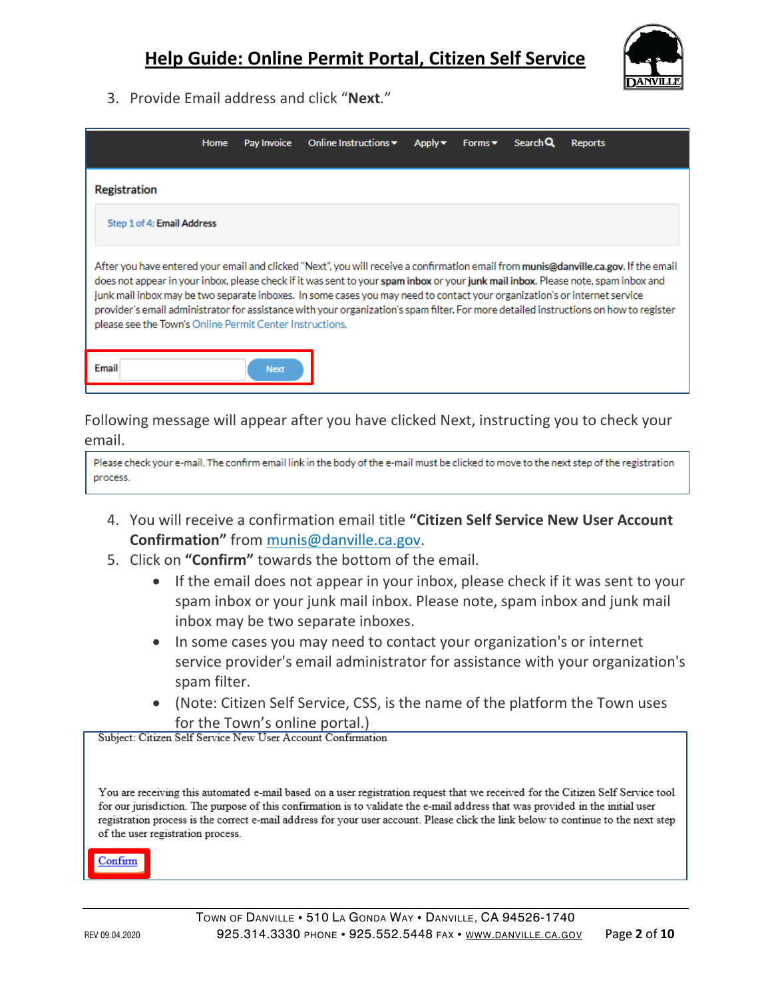

3. Provide Email address and click "**Next**."

|                                                                   | <b>Home</b> | Pay Invoice | Online Instructions $\blacktriangledown$                                                                                                                                                                                                                         | Apply $\blacktriangleright$ | Forms $\blacktriangleright$ | Search Q | <b>Reports</b>                                                                                                                                                                                                                                                                       |
|-------------------------------------------------------------------|-------------|-------------|------------------------------------------------------------------------------------------------------------------------------------------------------------------------------------------------------------------------------------------------------------------|-----------------------------|-----------------------------|----------|--------------------------------------------------------------------------------------------------------------------------------------------------------------------------------------------------------------------------------------------------------------------------------------|
| <b>Registration</b>                                               |             |             |                                                                                                                                                                                                                                                                  |                             |                             |          |                                                                                                                                                                                                                                                                                      |
| Step 1 of 4: Email Address                                        |             |             |                                                                                                                                                                                                                                                                  |                             |                             |          |                                                                                                                                                                                                                                                                                      |
| please see the Town's Online Permit Center Instructions.<br>Email |             | <b>Next</b> | does not appear in your inbox, please check if it was sent to your spam inbox or your junk mail inbox. Please note, spam inbox and<br>junk mail inbox may be two separate inboxes. In some cases you may need to contact your organization's or internet service |                             |                             |          | After you have entered your email and clicked "Next", you will receive a confirmation email from <b>munis@danville.ca.gov.</b> If the email<br>provider's email administrator for assistance with your organization's spam filter. For more detailed instructions on how to register |

Following message will appear after you have clicked Next, instructing you to check your email.

Please check your e-mail. The confirm email link in the body of the e-mail must be clicked to move to the next step of the registration process.

- 4. You will receive a confirmation email title **"Citizen Self Service New User Account Confirmation"** from munis@danville.ca.gov.
- 5. Click on **"Confirm"** towards the bottom of the email.
	- If the email does not appear in your inbox, please check if it was sent to your spam inbox or your junk mail inbox. Please note, spam inbox and junk mail inbox may be two separate inboxes.
	- In some cases you may need to contact your organization's or internet service provider's email administrator for assistance with your organization's spam filter.
	- (Note: Citizen Self Service, CSS, is the name of the platform the Town uses

for the Town's online portal.)<br>Subject: Citizen Self Service New User Account Confirmation

You are receiving this automated e-mail based on a user registration request that we received for the Citizen Self Service tool for our jurisdiction. The purpose of this confirmation is to validate the e-mail address that was provided in the initial user registration process is the correct e-mail address for your user account. Please click the link below to continue to the next step of the user registration process.

Confirm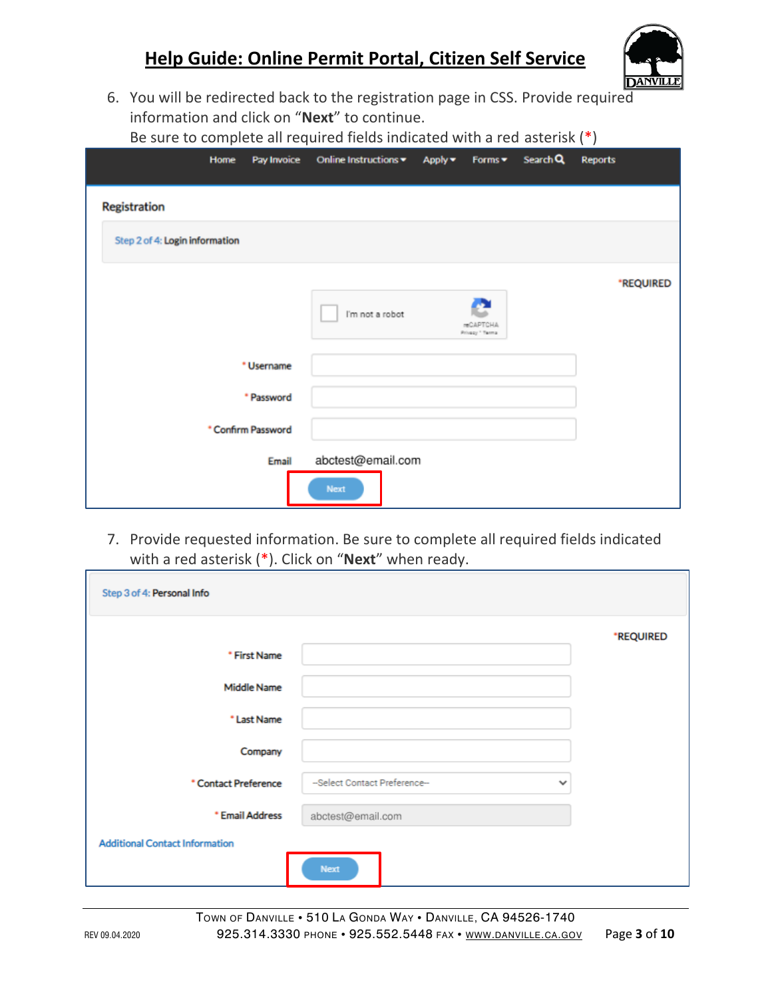

6. You will be redirected back to the registration page in CSS. Provide required information and click on "**Next**" to continue. Be sure to complete all required fields indicated with a red asterisk (\*)

|              | Home                           | Pay Invoice        | Online Instructions | Apply v<br>Forms $\blacktriangledown$    | Search Q | $\sqrt{ }$<br><b>Reports</b> |
|--------------|--------------------------------|--------------------|---------------------|------------------------------------------|----------|------------------------------|
| Registration |                                |                    |                     |                                          |          |                              |
|              |                                |                    |                     |                                          |          |                              |
|              | Step 2 of 4: Login information |                    |                     |                                          |          |                              |
|              |                                |                    |                     |                                          |          | *REQUIRED                    |
|              |                                |                    | I'm not a robot     | Æ<br><b>reCAPTCHA</b><br>Privacy * Terma |          |                              |
|              |                                |                    |                     |                                          |          |                              |
|              |                                | * Username         |                     |                                          |          |                              |
|              |                                | * Password         |                     |                                          |          |                              |
|              |                                | * Confirm Password |                     |                                          |          |                              |
|              |                                | Email              | abctest@email.com   |                                          |          |                              |
|              |                                |                    | Next                |                                          |          |                              |

7. Provide requested information. Be sure to complete all required fields indicated with a red asterisk (\*). Click on "**Next**" when ready.

| Step 3 of 4: Personal Info            |                                               |           |
|---------------------------------------|-----------------------------------------------|-----------|
|                                       |                                               | *REQUIRED |
| * First Name                          |                                               |           |
| <b>Middle Name</b>                    |                                               |           |
| * Last Name                           |                                               |           |
| Company                               |                                               |           |
| * Contact Preference                  | --Select Contact Preference--<br>$\checkmark$ |           |
| * Email Address                       | abctest@email.com                             |           |
| <b>Additional Contact Information</b> |                                               |           |
|                                       | Next                                          |           |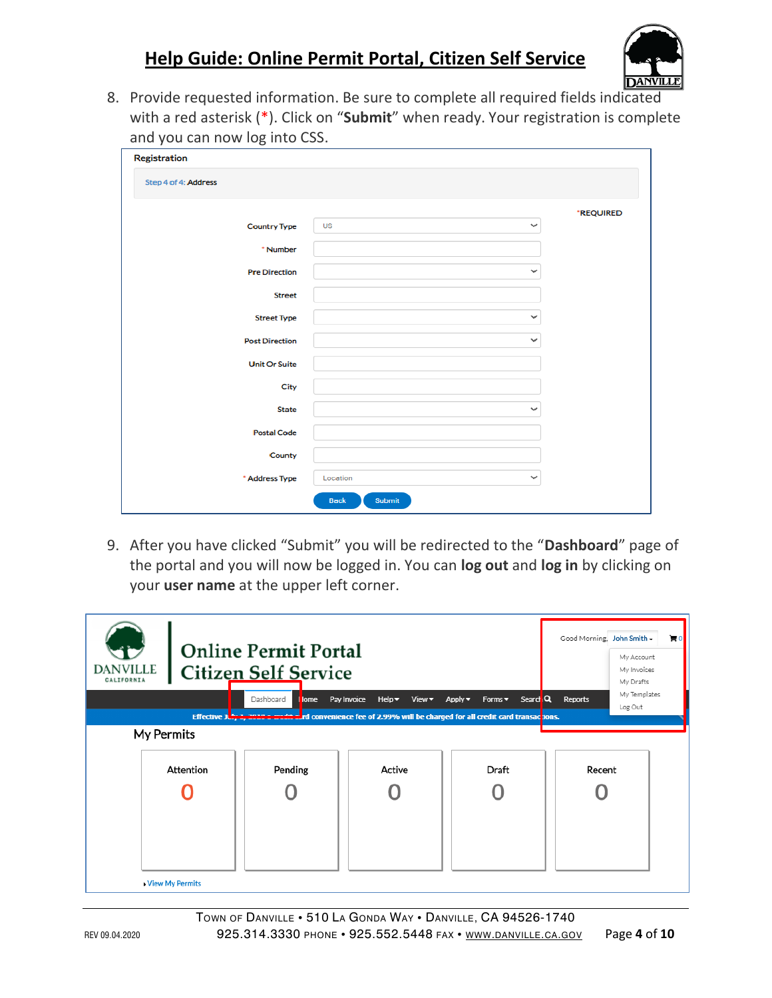

8. Provide requested information. Be sure to complete all required fields indicated with a red asterisk (\*). Click on "**Submit**" when ready. Your registration is complete and you can now log into CSS.

| Registration          |                           |           |
|-----------------------|---------------------------|-----------|
| Step 4 of 4: Address  |                           |           |
|                       |                           | *REQUIRED |
| <b>Country Type</b>   | <b>US</b><br>$\checkmark$ |           |
| * Number              |                           |           |
| <b>Pre Direction</b>  | $\checkmark$              |           |
| <b>Street</b>         |                           |           |
| <b>Street Type</b>    | $\checkmark$              |           |
| <b>Post Direction</b> | $\checkmark$              |           |
| <b>Unit Or Suite</b>  |                           |           |
| City                  |                           |           |
| <b>State</b>          | $\checkmark$              |           |
| <b>Postal Code</b>    |                           |           |
| County                |                           |           |
| * Address Type        | $\checkmark$<br>Location  |           |
|                       | <b>Back</b><br>Submit     |           |

9. After you have clicked "Submit" you will be redirected to the "**Dashboard**" page of the portal and you will now be logged in. You can **log out** and **log in** by clicking on your **user name** at the upper left corner.

| <b>DANVILLE</b><br>CALIFORNIA | <b>Citizen Self Service</b> | <b>Online Permit Portal</b> |                                                                                                                     |                                                     | Good Morning, John Smith - | F <sub>0</sub><br>My Account<br>My Invoices<br>My Drafts |
|-------------------------------|-----------------------------|-----------------------------|---------------------------------------------------------------------------------------------------------------------|-----------------------------------------------------|----------------------------|----------------------------------------------------------|
|                               |                             | Dashboard<br>lome           | Pay Invoice<br>$Help -$<br>View $\blacktriangledown$                                                                | Search Q<br>$Apply -$<br>Forms $\blacktriangledown$ | Reports                    | My Templates<br>Log Out                                  |
| My Permits                    |                             |                             | Effective July 1, 2010 - and district of Convenience fee of 2.99% will be charged for all credit card transactions. |                                                     |                            |                                                          |
|                               |                             |                             |                                                                                                                     |                                                     |                            |                                                          |
|                               | Attention                   | Pending                     | Active                                                                                                              | Draft                                               | Recent                     |                                                          |
|                               |                             |                             |                                                                                                                     |                                                     |                            |                                                          |
|                               |                             |                             |                                                                                                                     |                                                     |                            |                                                          |
|                               |                             |                             |                                                                                                                     |                                                     |                            |                                                          |
|                               |                             |                             |                                                                                                                     |                                                     |                            |                                                          |
|                               | View My Permits             |                             |                                                                                                                     |                                                     |                            |                                                          |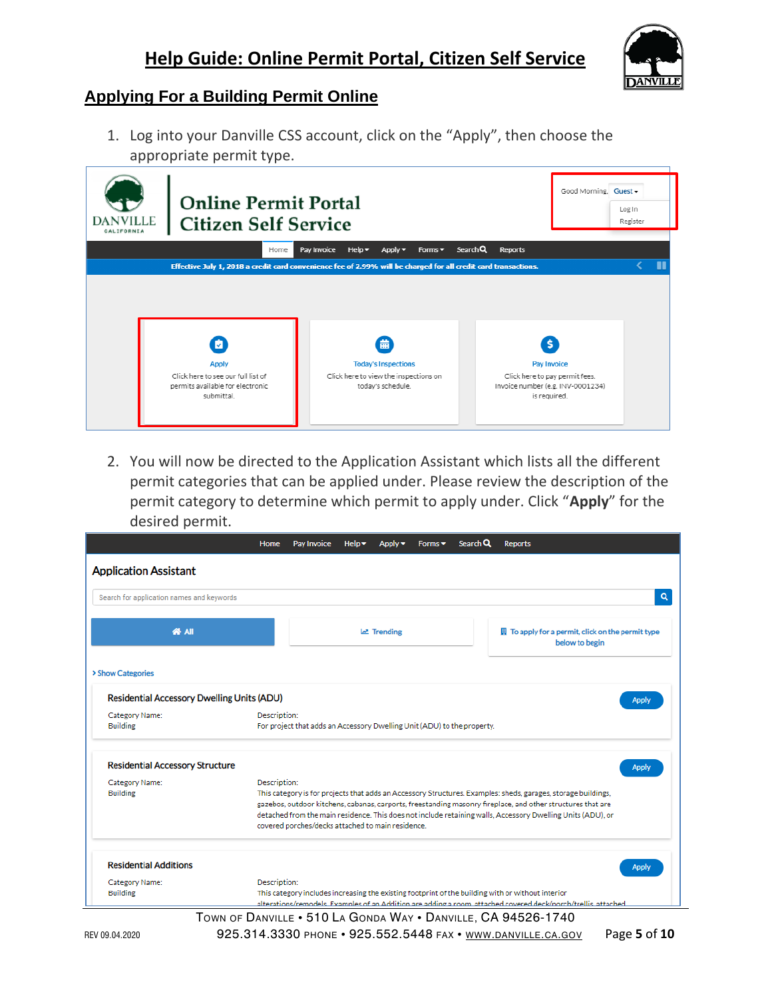

#### <span id="page-4-0"></span>**Applying For a Building Permit Online**

1. Log into your Danville CSS account, click on the "Apply", then choose the appropriate permit type.

| <b>DANVILLE</b><br>CALIFORNIA | <b>Online Permit Portal</b><br><b>Citizen Self Service</b>                                               |                                                                                                                                                                                                                    | Good Morning, Guest -<br>Log In<br>Register                                                              |
|-------------------------------|----------------------------------------------------------------------------------------------------------|--------------------------------------------------------------------------------------------------------------------------------------------------------------------------------------------------------------------|----------------------------------------------------------------------------------------------------------|
|                               | Home                                                                                                     | Search Q<br>$Help -$<br>Apply $\blacktriangledown$<br>Forms $\blacktriangledown$<br>Pay Invoice<br>Effective July 1, 2018 a credit card convenience fee of 2.99% will be charged for all credit card transactions. | <b>Reports</b>                                                                                           |
|                               |                                                                                                          |                                                                                                                                                                                                                    |                                                                                                          |
|                               | М<br><b>Apply</b><br>Click here to see our full list of<br>permits available for electronic<br>submittal | 曲<br><b>Today's Inspections</b><br>Click here to view the inspections on<br>today's schedule.                                                                                                                      | s.<br>Pay Invoice<br>Click here to pay permit fees.<br>Invoice number (e.g. INV-0001234)<br>is required. |

2. You will now be directed to the Application Assistant which lists all the different permit categories that can be applied under. Please review the description of the permit category to determine which permit to apply under. Click "**Apply**" for the desired permit.

| <b>Application Assistant</b>                      |              |                                                                         |          |  |                                                                                                               |
|---------------------------------------------------|--------------|-------------------------------------------------------------------------|----------|--|---------------------------------------------------------------------------------------------------------------|
| Search for application names and keywords         |              |                                                                         |          |  |                                                                                                               |
| <b>K</b> All                                      |              |                                                                         | Trending |  | $\mathbb H$ To apply for a permit, click on the permit type<br>below to begin                                 |
| > Show Categories                                 |              |                                                                         |          |  |                                                                                                               |
| <b>Residential Accessory Dwelling Units (ADU)</b> |              |                                                                         |          |  | <b>Apply</b>                                                                                                  |
| Category Name:                                    | Description: |                                                                         |          |  |                                                                                                               |
| <b>Building</b>                                   |              | For project that adds an Accessory Dwelling Unit (ADU) to the property. |          |  |                                                                                                               |
| <b>Residential Accessory Structure</b>            |              |                                                                         |          |  | <b>Apply</b>                                                                                                  |
| Category Name:                                    | Description: |                                                                         |          |  |                                                                                                               |
| <b>Building</b>                                   |              |                                                                         |          |  | This category is for projects that adds an Accessory Structures. Examples: sheds, garages, storage buildings, |
|                                                   |              |                                                                         |          |  | gazebos, outdoor kitchens, cabanas, carports, freestanding masonry fireplace, and other structures that are   |
|                                                   |              |                                                                         |          |  | detached from the main residence. This does not include retaining walls, Accessory Dwelling Units (ADU), or   |
|                                                   |              | covered porches/decks attached to main residence.                       |          |  |                                                                                                               |
|                                                   |              |                                                                         |          |  |                                                                                                               |
| <b>Residential Additions</b>                      |              |                                                                         |          |  | <b>Apply</b>                                                                                                  |
| Category Name:                                    | Description: |                                                                         |          |  |                                                                                                               |
| <b>Building</b>                                   |              |                                                                         |          |  | This category includes increasing the existing footprint of the building with or without interior             |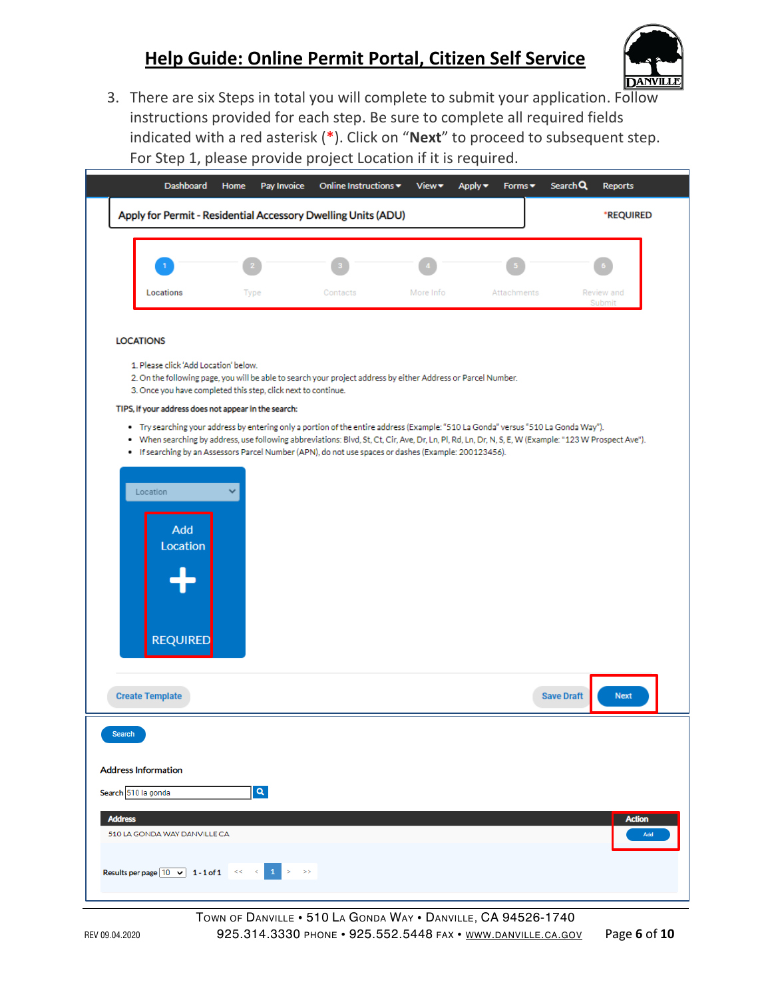

3. There are six Steps in total you will complete to submit your application. Follow instructions provided for each step. Be sure to complete all required fields indicated with a red asterisk (\*). Click on "**Next**" to proceed to subsequent step. For Step 1, please provide project Location if it is required.

|                            | <b>Dashboard</b>                                                                                       | Home | Pay Invoice | Online Instructions ▼                                                                                                                                                                                                                                                                                                                                                                                | View      | Apply ▼ | Forms $\blacktriangledown$ | Search Q          | Reports              |
|----------------------------|--------------------------------------------------------------------------------------------------------|------|-------------|------------------------------------------------------------------------------------------------------------------------------------------------------------------------------------------------------------------------------------------------------------------------------------------------------------------------------------------------------------------------------------------------------|-----------|---------|----------------------------|-------------------|----------------------|
|                            |                                                                                                        |      |             | Apply for Permit - Residential Accessory Dwelling Units (ADU)                                                                                                                                                                                                                                                                                                                                        |           |         |                            |                   | *REQUIRED            |
|                            |                                                                                                        |      |             |                                                                                                                                                                                                                                                                                                                                                                                                      |           |         |                            |                   |                      |
|                            | Locations                                                                                              |      | Type        | Contacts                                                                                                                                                                                                                                                                                                                                                                                             | More Info |         | Attachments                |                   | Review and<br>Submit |
| <b>LOCATIONS</b>           |                                                                                                        |      |             |                                                                                                                                                                                                                                                                                                                                                                                                      |           |         |                            |                   |                      |
|                            | 1. Please click 'Add Location' below.<br>3. Once you have completed this step, click next to continue. |      |             | 2. On the following page, you will be able to search your project address by either Address or Parcel Number.                                                                                                                                                                                                                                                                                        |           |         |                            |                   |                      |
|                            | TIPS, if your address does not appear in the search:                                                   |      |             |                                                                                                                                                                                                                                                                                                                                                                                                      |           |         |                            |                   |                      |
|                            |                                                                                                        |      |             | . Try searching your address by entering only a portion of the entire address (Example: "510 La Gonda" versus "510 La Gonda Way").<br>. When searching by address, use following abbreviations: Blvd, St, Ct, Cir, Ave, Dr, Ln, Pl, Rd, Ln, Dr, N, S, E, W (Example: "123 W Prospect Ave").<br>· If searching by an Assessors Parcel Number (APN), do not use spaces or dashes (Example: 200123456). |           |         |                            |                   |                      |
|                            |                                                                                                        |      |             |                                                                                                                                                                                                                                                                                                                                                                                                      |           |         |                            |                   |                      |
| Location                   |                                                                                                        | v    |             |                                                                                                                                                                                                                                                                                                                                                                                                      |           |         |                            |                   |                      |
|                            | Add<br>Location                                                                                        |      |             |                                                                                                                                                                                                                                                                                                                                                                                                      |           |         |                            |                   |                      |
|                            | <b>REQUIRED</b>                                                                                        |      |             |                                                                                                                                                                                                                                                                                                                                                                                                      |           |         |                            |                   |                      |
|                            |                                                                                                        |      |             |                                                                                                                                                                                                                                                                                                                                                                                                      |           |         |                            |                   |                      |
| <b>Create Template</b>     |                                                                                                        |      |             |                                                                                                                                                                                                                                                                                                                                                                                                      |           |         |                            | <b>Save Draft</b> | <b>Next</b>          |
| <b>Search</b>              |                                                                                                        |      |             |                                                                                                                                                                                                                                                                                                                                                                                                      |           |         |                            |                   |                      |
| <b>Address Information</b> |                                                                                                        |      |             |                                                                                                                                                                                                                                                                                                                                                                                                      |           |         |                            |                   |                      |
| Search 510 la gonda        |                                                                                                        |      | $\alpha$    |                                                                                                                                                                                                                                                                                                                                                                                                      |           |         |                            |                   |                      |
|                            |                                                                                                        |      |             |                                                                                                                                                                                                                                                                                                                                                                                                      |           |         |                            |                   |                      |
|                            |                                                                                                        |      |             |                                                                                                                                                                                                                                                                                                                                                                                                      |           |         |                            |                   | <b>Action</b>        |
| <b>Address</b>             | 510 LA GONDA WAY DANVILLE CA                                                                           |      |             |                                                                                                                                                                                                                                                                                                                                                                                                      |           |         |                            |                   | Add                  |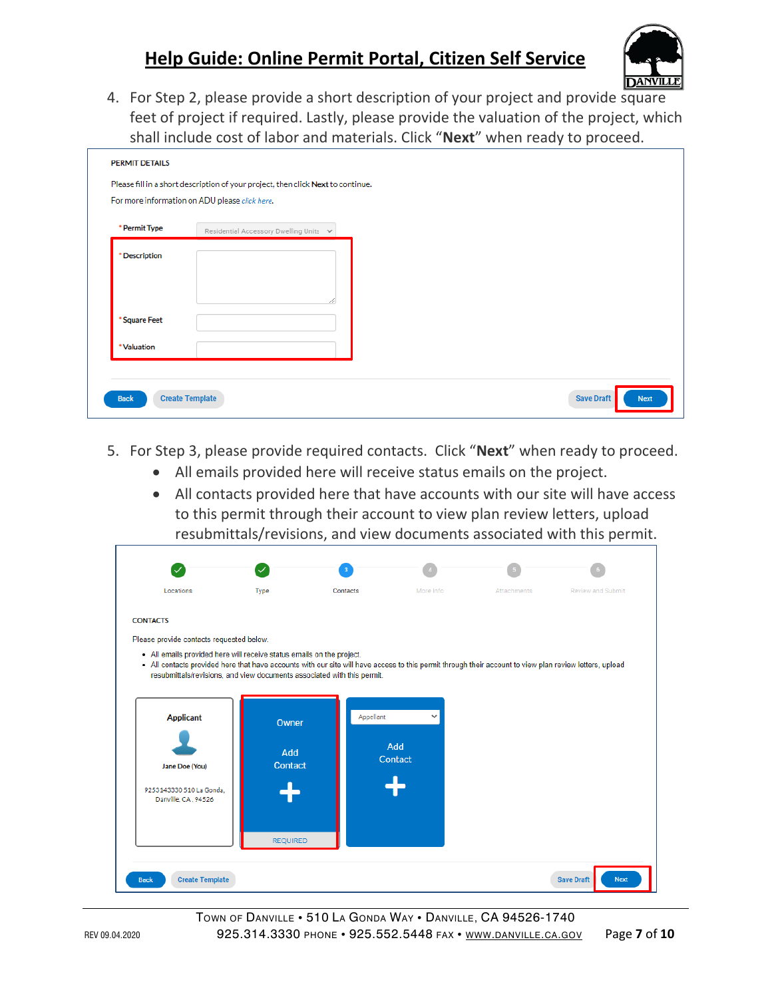

4. For Step 2, please provide a short description of your project and provide square feet of project if required. Lastly, please provide the valuation of the project, which shall include cost of labor and materials. Click "**Next**" when ready to proceed.

| * Permit Type | Residential Accessory Dwelling Units V |  |
|---------------|----------------------------------------|--|
| * Description |                                        |  |
|               |                                        |  |
|               |                                        |  |
| * Square Feet |                                        |  |
| * Valuation   |                                        |  |

- 5. For Step 3, please provide required contacts. Click "**Next**" when ready to proceed.
	- All emails provided here will receive status emails on the project.
	- All contacts provided here that have accounts with our site will have access to this permit through their account to view plan review letters, upload resubmittals/revisions, and view documents associated with this permit.

| Locations                                                                                                                                                                                                                        | Type            | <b>Contacts</b> | More Info | Attachments | Review and Submit |
|----------------------------------------------------------------------------------------------------------------------------------------------------------------------------------------------------------------------------------|-----------------|-----------------|-----------|-------------|-------------------|
|                                                                                                                                                                                                                                  |                 |                 |           |             |                   |
| <b>CONTACTS</b>                                                                                                                                                                                                                  |                 |                 |           |             |                   |
| Please provide contacts requested below.                                                                                                                                                                                         |                 |                 |           |             |                   |
| • All emails provided here will receive status emails on the project.<br>. All contacts provided here that have accounts with our site will have access to this permit through their account to view plan review letters, upload |                 |                 |           |             |                   |
| resubmittals/revisions, and view documents associated with this permit.                                                                                                                                                          |                 |                 |           |             |                   |
|                                                                                                                                                                                                                                  |                 |                 |           |             |                   |
| <b>Applicant</b>                                                                                                                                                                                                                 |                 | Appellant       | v         |             |                   |
|                                                                                                                                                                                                                                  | Owner           |                 |           |             |                   |
|                                                                                                                                                                                                                                  | Add             |                 | Add       |             |                   |
| Jane Doe (You)                                                                                                                                                                                                                   | <b>Contact</b>  |                 | Contact   |             |                   |
| 9253143330 510 La Gonda.                                                                                                                                                                                                         |                 |                 |           |             |                   |
| Danville, CA, 94526                                                                                                                                                                                                              |                 |                 |           |             |                   |
|                                                                                                                                                                                                                                  |                 |                 |           |             |                   |
|                                                                                                                                                                                                                                  |                 |                 |           |             |                   |
|                                                                                                                                                                                                                                  | <b>REQUIRED</b> |                 |           |             |                   |
|                                                                                                                                                                                                                                  |                 |                 |           |             |                   |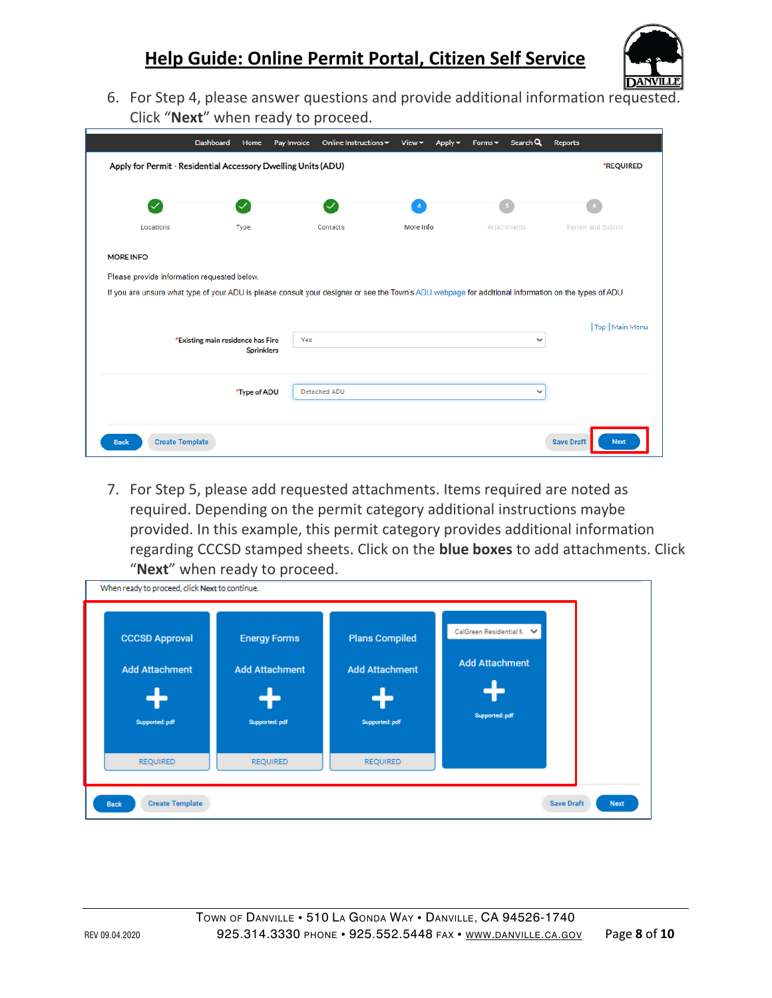

6. For Step 4, please answer questions and provide additional information requested. Click "**Next**" when ready to proceed.

|                                                                                                                                                       | Dashboard<br>Home | Pay Invoice | Online Instructions ~ | View <sub></sub> | Apply $\blacktriangledown$ | Forms $\blacktriangledown$ | Search Q     | <b>Reports</b>    |                          |
|-------------------------------------------------------------------------------------------------------------------------------------------------------|-------------------|-------------|-----------------------|------------------|----------------------------|----------------------------|--------------|-------------------|--------------------------|
| Apply for Permit - Residential Accessory Dwelling Units (ADU)                                                                                         |                   |             |                       |                  |                            |                            |              |                   | *REQUIRED                |
| $\backsim$                                                                                                                                            |                   |             | $\checkmark$          | $\overline{4}$   |                            |                            |              |                   |                          |
| Locations                                                                                                                                             | Type              |             | Contacts              | More Info        |                            |                            | Attachments  |                   | <b>Review and Submit</b> |
| <b>MORE INFO</b>                                                                                                                                      |                   |             |                       |                  |                            |                            |              |                   |                          |
| Please provide information requested below.                                                                                                           |                   |             |                       |                  |                            |                            |              |                   |                          |
|                                                                                                                                                       |                   |             |                       |                  |                            |                            |              |                   |                          |
| If you are unsure what type of your ADU is please consult your designer or see the Town's ADU webpage for additional information on the types of ADU. |                   |             |                       |                  |                            |                            |              |                   |                          |
|                                                                                                                                                       |                   |             |                       |                  |                            |                            |              |                   |                          |
|                                                                                                                                                       |                   |             |                       |                  |                            |                            |              |                   |                          |
| *Existing main residence has Fire                                                                                                                     | <b>Sprinklers</b> | Yes         |                       |                  |                            |                            | $\checkmark$ |                   |                          |
|                                                                                                                                                       |                   |             |                       |                  |                            |                            |              |                   |                          |
|                                                                                                                                                       |                   |             | Detached ADU          |                  |                            |                            | $\checkmark$ |                   |                          |
|                                                                                                                                                       | *Type of ADU      |             |                       |                  |                            |                            |              |                   | Top   Main Menu          |
|                                                                                                                                                       |                   |             |                       |                  |                            |                            |              |                   |                          |
| <b>Create Template</b><br><b>Back</b>                                                                                                                 |                   |             |                       |                  |                            |                            |              | <b>Save Draft</b> | <b>Next</b>              |

7. For Step 5, please add requested attachments. Items required are noted as required. Depending on the permit category additional instructions maybe provided. In this example, this permit category provides additional information regarding CCCSD stamped sheets. Click on the **blue boxes** to add attachments. Click "**Next**" when ready to proceed.

| When ready to proceed, click Next to continue.<br><b>CCCSD Approval</b><br><b>Add Attachment</b><br>Supported: pdf | <b>Energy Forms</b><br><b>Add Attachment</b><br>Supported: pdf | <b>Plans Compiled</b><br><b>Add Attachment</b><br>Supported: pdf | CalGreen Residential M ↓<br><b>Add Attachment</b><br>Supported: pdf |  |
|--------------------------------------------------------------------------------------------------------------------|----------------------------------------------------------------|------------------------------------------------------------------|---------------------------------------------------------------------|--|
| <b>REQUIRED</b>                                                                                                    | <b>REQUIRED</b>                                                | <b>REQUIRED</b>                                                  |                                                                     |  |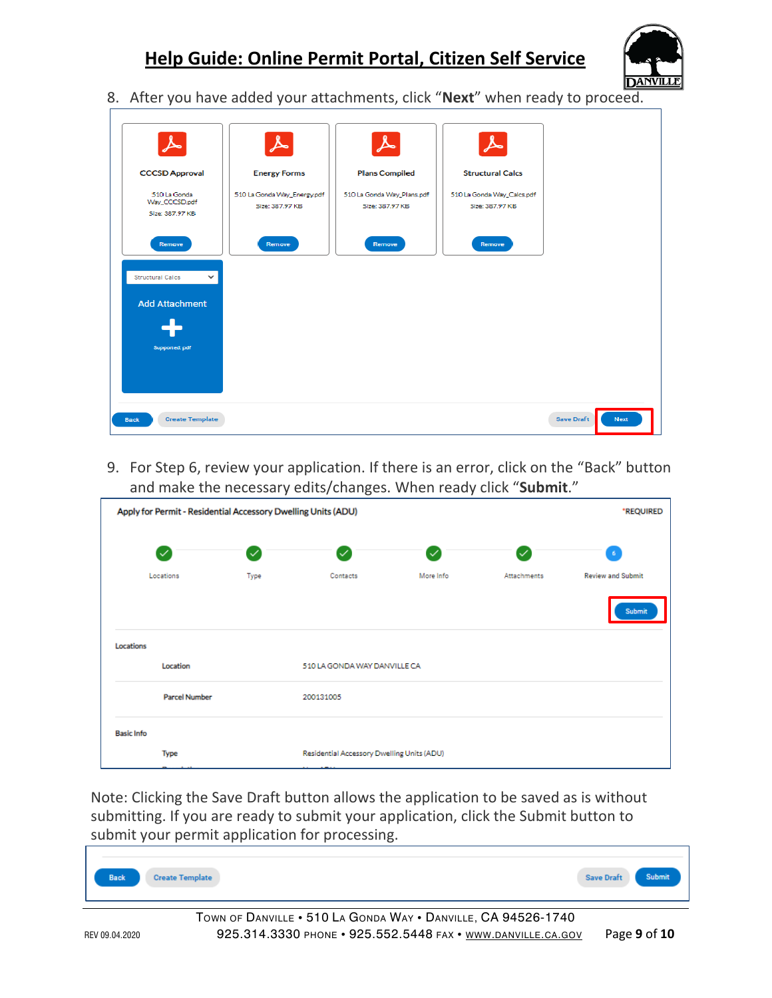

8. After you have added your attachments, click "**Next**" when ready to proceed.

| $\blacktriangleright$                   |                                                    |                                                     |                                                       |                           |
|-----------------------------------------|----------------------------------------------------|-----------------------------------------------------|-------------------------------------------------------|---------------------------|
| <b>CCCSD Approval</b><br>510 La Gonda   | <b>Energy Forms</b><br>510 La Gonda Way_Energy.pdf | <b>Plans Compiled</b><br>510 La Gonda Way_Plans.pdf | <b>Structural Calcs</b><br>510 La Gonda Way_Calcs.pdf |                           |
| Way CCCSD.pdf<br>Size: 387.97 KB        | Size: 387.97 KB                                    | Size: 387.97 KB                                     | Size: 387.97 KB                                       |                           |
| Remove                                  | Remove                                             | Remove                                              | Remove                                                |                           |
| <b>Structural Calcs</b><br>$\checkmark$ |                                                    |                                                     |                                                       |                           |
| <b>Add Attachment</b>                   |                                                    |                                                     |                                                       |                           |
| Supported: pdf                          |                                                    |                                                     |                                                       |                           |
|                                         |                                                    |                                                     |                                                       |                           |
| <b>Create Template</b><br><b>Back</b>   |                                                    |                                                     |                                                       | <b>Save Draft</b><br>Next |

9. For Step 6, review your application. If there is an error, click on the "Back" button and make the necessary edits/changes. When ready click "**Submit**."

|                   | Apply for Permit - Residential Accessory Dwelling Units (ADU) |      |                                                                        |              |              |                          |  |  |  |  |  |
|-------------------|---------------------------------------------------------------|------|------------------------------------------------------------------------|--------------|--------------|--------------------------|--|--|--|--|--|
|                   | $\checkmark$                                                  | び    | $\checkmark$                                                           | $\checkmark$ | $\checkmark$ | 6                        |  |  |  |  |  |
|                   | Locations                                                     | Type | Contacts                                                               | More Info    | Attachments  | <b>Review and Submit</b> |  |  |  |  |  |
|                   |                                                               |      |                                                                        |              |              | <b>Submit</b>            |  |  |  |  |  |
| Locations         |                                                               |      |                                                                        |              |              |                          |  |  |  |  |  |
|                   | Location                                                      |      | 510 LA GONDA WAY DANVILLE CA                                           |              |              |                          |  |  |  |  |  |
|                   | <b>Parcel Number</b>                                          |      | 200131005                                                              |              |              |                          |  |  |  |  |  |
| <b>Basic Info</b> |                                                               |      |                                                                        |              |              |                          |  |  |  |  |  |
|                   | Type<br>$+ - +$<br>e.                                         |      | Residential Accessory Dwelling Units (ADU)<br><b>ABALL</b><br>$\cdots$ |              |              |                          |  |  |  |  |  |

Note: Clicking the Save Draft button allows the application to be saved as is without submitting. If you are ready to submit your application, click the Submit button to submit your permit application for processing.

| Back<br><b>Create Template</b> | <b>Save Draft</b> |  |
|--------------------------------|-------------------|--|
|--------------------------------|-------------------|--|